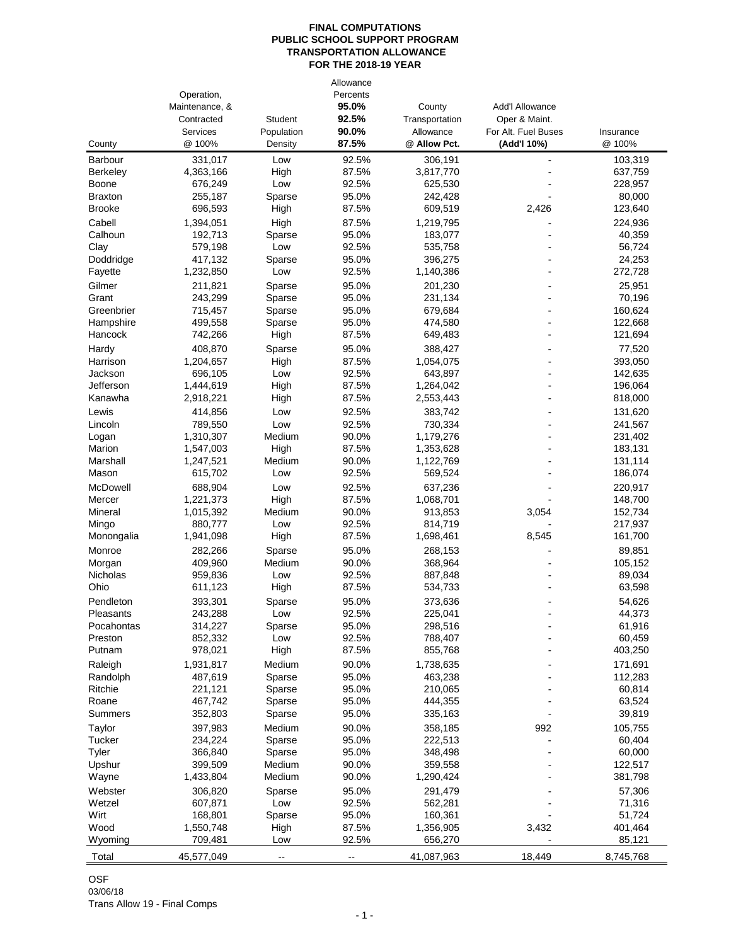|                                 | Operation,<br>Maintenance, &<br>Contracted<br>Services | <b>Student</b>           | Allowance<br>Percents<br>95.0%<br>92.5%<br>90.0% | County<br>Transportation<br>Allowance | <b>Add'I Allowance</b><br>Oper & Maint.<br>For Alt. Fuel Buses |                     |
|---------------------------------|--------------------------------------------------------|--------------------------|--------------------------------------------------|---------------------------------------|----------------------------------------------------------------|---------------------|
| County                          | @ 100%                                                 | Population<br>Density    | 87.5%                                            | @ Allow Pct.                          | (Add'l 10%)                                                    | Insurance<br>@ 100% |
| Barbour                         | 331,017                                                | Low                      | 92.5%                                            | 306,191                               | ÷                                                              | 103,319             |
| Berkeley                        | 4,363,166                                              | High                     | 87.5%                                            | 3,817,770                             |                                                                | 637,759             |
| Boone                           | 676,249                                                | Low                      | 92.5%                                            | 625,530                               |                                                                | 228,957             |
| <b>Braxton</b><br><b>Brooke</b> | 255,187<br>696,593                                     | Sparse                   | 95.0%<br>87.5%                                   | 242,428                               | 2,426                                                          | 80,000              |
|                                 |                                                        | High                     |                                                  | 609,519                               |                                                                | 123,640             |
| Cabell<br>Calhoun               | 1,394,051<br>192,713                                   | High<br>Sparse           | 87.5%<br>95.0%                                   | 1,219,795<br>183,077                  |                                                                | 224,936<br>40,359   |
| Clay                            | 579,198                                                | Low                      | 92.5%                                            | 535,758                               |                                                                | 56,724              |
| Doddridge                       | 417,132                                                | Sparse                   | 95.0%                                            | 396,275                               |                                                                | 24,253              |
| Fayette                         | 1,232,850                                              | Low                      | 92.5%                                            | 1,140,386                             |                                                                | 272,728             |
| Gilmer                          | 211,821                                                | Sparse                   | 95.0%                                            | 201,230                               |                                                                | 25,951              |
| Grant                           | 243,299                                                | Sparse                   | 95.0%                                            | 231,134                               |                                                                | 70,196              |
| Greenbrier                      | 715,457                                                | Sparse                   | 95.0%                                            | 679,684                               |                                                                | 160,624             |
| Hampshire                       | 499,558                                                | Sparse                   | 95.0%                                            | 474,580                               |                                                                | 122,668             |
| Hancock                         | 742,266                                                | High                     | 87.5%                                            | 649,483                               |                                                                | 121,694             |
| Hardy                           | 408,870                                                | Sparse                   | 95.0%                                            | 388,427                               |                                                                | 77,520              |
| Harrison                        | 1,204,657                                              | High                     | 87.5%                                            | 1,054,075                             | ٠                                                              | 393,050             |
| Jackson                         | 696,105                                                | Low                      | 92.5%                                            | 643,897                               |                                                                | 142,635             |
| Jefferson<br>Kanawha            | 1,444,619<br>2,918,221                                 | High                     | 87.5%<br>87.5%                                   | 1,264,042<br>2,553,443                |                                                                | 196,064<br>818,000  |
| Lewis                           |                                                        | High                     | 92.5%                                            | 383.742                               |                                                                |                     |
| Lincoln                         | 414,856<br>789,550                                     | Low<br>Low               | 92.5%                                            | 730,334                               |                                                                | 131,620<br>241,567  |
| Logan                           | 1,310,307                                              | Medium                   | 90.0%                                            | 1,179,276                             |                                                                | 231,402             |
| Marion                          | 1,547,003                                              | High                     | 87.5%                                            | 1,353,628                             |                                                                | 183,131             |
| Marshall                        | 1,247,521                                              | Medium                   | 90.0%                                            | 1,122,769                             |                                                                | 131,114             |
| Mason                           | 615,702                                                | Low                      | 92.5%                                            | 569,524                               |                                                                | 186,074             |
| McDowell                        | 688,904                                                | Low                      | 92.5%                                            | 637,236                               |                                                                | 220,917             |
| Mercer                          | 1,221,373                                              | High                     | 87.5%                                            | 1,068,701                             |                                                                | 148,700             |
| Mineral                         | 1,015,392                                              | Medium                   | 90.0%                                            | 913,853                               | 3,054                                                          | 152,734             |
| Mingo                           | 880,777                                                | Low                      | 92.5%                                            | 814,719                               |                                                                | 217,937             |
| Monongalia                      | 1,941,098                                              | High                     | 87.5%                                            | 1,698,461                             | 8,545                                                          | 161,700             |
| Monroe                          | 282,266                                                | Sparse                   | 95.0%                                            | 268,153                               |                                                                | 89,851              |
| Morgan                          | 409,960                                                | Medium                   | 90.0%                                            | 368,964                               |                                                                | 105,152             |
| Nicholas<br>Ohio                | 959,836<br>611,123                                     | Low<br>High              | 92.5%<br>87.5%                                   | 887,848<br>534,733                    |                                                                | 89,034<br>63,598    |
| Pendleton                       | 393,301                                                | Sparse                   | 95.0%                                            | 373,636                               |                                                                | 54,626              |
| Pleasants                       | 243,288                                                | Low                      | 92.5%                                            | 225,041                               |                                                                | 44,373              |
| Pocahontas                      | 314,227                                                | Sparse                   | 95.0%                                            | 298,516                               |                                                                | 61,916              |
| Preston                         | 852,332                                                | Low                      | 92.5%                                            | 788,407                               |                                                                | 60,459              |
| Putnam                          | 978,021                                                | High                     | 87.5%                                            | 855,768                               |                                                                | 403,250             |
| Raleigh                         | 1,931,817                                              | Medium                   | 90.0%                                            | 1,738,635                             |                                                                | 171,691             |
| Randolph                        | 487,619                                                | Sparse                   | 95.0%                                            | 463,238                               |                                                                | 112,283             |
| Ritchie                         | 221,121                                                | Sparse                   | 95.0%                                            | 210,065                               |                                                                | 60,814              |
| Roane                           | 467,742                                                | Sparse                   | 95.0%                                            | 444,355                               |                                                                | 63,524              |
| Summers                         | 352,803                                                | Sparse                   | 95.0%                                            | 335,163                               |                                                                | 39,819              |
| Taylor                          | 397,983                                                | Medium                   | 90.0%                                            | 358,185                               | 992                                                            | 105,755             |
| Tucker                          | 234,224                                                | Sparse                   | 95.0%                                            | 222,513                               |                                                                | 60,404              |
| Tyler<br>Upshur                 | 366,840<br>399,509                                     | Sparse<br>Medium         | 95.0%<br>90.0%                                   | 348,498<br>359,558                    |                                                                | 60,000<br>122,517   |
| Wayne                           | 1,433,804                                              | Medium                   | 90.0%                                            | 1,290,424                             |                                                                | 381,798             |
| Webster                         | 306,820                                                | Sparse                   | 95.0%                                            | 291,479                               |                                                                | 57,306              |
| Wetzel                          | 607,871                                                | Low                      | 92.5%                                            | 562,281                               |                                                                | 71,316              |
| Wirt                            | 168,801                                                | Sparse                   | 95.0%                                            | 160,361                               |                                                                | 51,724              |
| Wood                            | 1,550,748                                              | High                     | 87.5%                                            | 1,356,905                             | 3,432                                                          | 401,464             |
| Wyoming                         | 709,481                                                | Low                      | 92.5%                                            | 656,270                               |                                                                | 85,121              |
| Total                           | 45,577,049                                             | $\overline{\phantom{a}}$ | --                                               | 41,087,963                            | 18,449                                                         | 8,745,768           |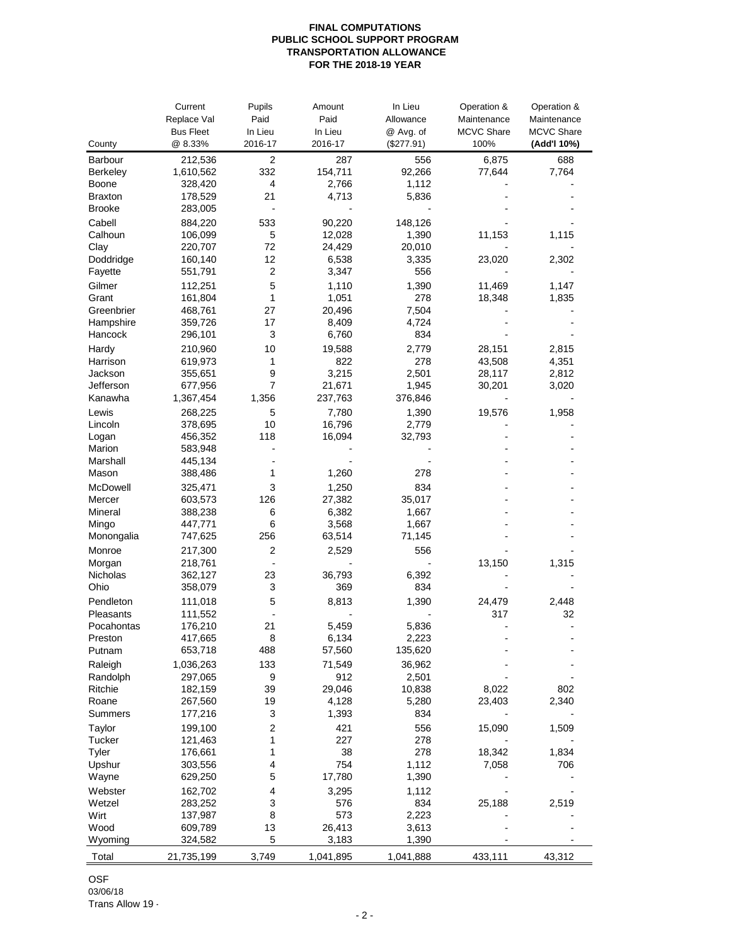|                    | Current            | Pupils                  | Amount    | In Lieu    | Operation &       | Operation &       |
|--------------------|--------------------|-------------------------|-----------|------------|-------------------|-------------------|
|                    | Replace Val        | Paid                    | Paid      | Allowance  | Maintenance       | Maintenance       |
|                    | <b>Bus Fleet</b>   | In Lieu                 | In Lieu   | @ Avg. of  | <b>MCVC Share</b> | <b>MCVC Share</b> |
| County             | @ 8.33%            | 2016-17                 | 2016-17   | (\$277.91) | 100%              | (Add'l 10%)       |
| Barbour            | 212,536            | 2                       | 287       | 556        | 6,875             | 688               |
| <b>Berkeley</b>    | 1,610,562          | 332                     | 154,711   | 92,266     | 77,644            | 7,764             |
| Boone              | 328,420            | 4                       | 2,766     | 1,112      |                   |                   |
| <b>Braxton</b>     | 178,529            | 21                      | 4,713     | 5,836      |                   |                   |
| <b>Brooke</b>      | 283,005            | $\blacksquare$          |           |            |                   |                   |
| Cabell             | 884,220            | 533                     | 90,220    | 148,126    |                   |                   |
| Calhoun            | 106,099            | 5                       | 12,028    | 1,390      | 11,153            | 1,115             |
| Clay               | 220,707            | 72                      | 24,429    | 20,010     |                   |                   |
| Doddridge          | 160,140            | 12                      | 6,538     | 3,335      | 23,020            | 2,302             |
| Fayette            | 551,791            | $\overline{\mathbf{c}}$ | 3,347     | 556        |                   |                   |
| Gilmer             | 112,251            | 5                       | 1,110     | 1,390      | 11,469            | 1,147             |
| Grant              | 161,804            | 1                       | 1,051     | 278        | 18,348            | 1,835             |
| Greenbrier         | 468,761            | 27                      | 20,496    | 7,504      |                   |                   |
| Hampshire          | 359,726            | 17                      | 8,409     | 4,724      |                   |                   |
| Hancock            | 296,101            | 3                       | 6,760     | 834        |                   |                   |
| Hardy              | 210,960            | 10                      | 19,588    | 2,779      | 28,151            | 2,815             |
| Harrison           | 619,973            | 1                       | 822       | 278        | 43,508            | 4,351             |
| Jackson            | 355,651            | 9                       | 3,215     | 2,501      | 28,117            | 2,812             |
| Jefferson          | 677,956            | $\overline{7}$          | 21,671    | 1,945      | 30,201            | 3,020             |
| Kanawha            | 1,367,454          | 1,356                   | 237,763   | 376,846    |                   |                   |
| Lewis              | 268,225            | 5                       | 7,780     | 1,390      | 19,576            | 1,958             |
| Lincoln            | 378,695            | 10                      | 16,796    | 2,779      |                   |                   |
| Logan              | 456,352            | 118<br>$\blacksquare$   | 16,094    | 32,793     |                   |                   |
| Marion<br>Marshall | 583,948<br>445,134 |                         |           |            |                   |                   |
| Mason              | 388,486            | 1                       | 1,260     | 278        |                   |                   |
| McDowell           |                    | 3                       | 1,250     | 834        |                   |                   |
| Mercer             | 325,471<br>603,573 | 126                     | 27,382    | 35,017     |                   |                   |
| Mineral            | 388,238            | 6                       | 6,382     | 1,667      |                   |                   |
| Mingo              | 447,771            | 6                       | 3,568     | 1,667      |                   |                   |
| Monongalia         | 747,625            | 256                     | 63,514    | 71,145     |                   |                   |
| Monroe             | 217,300            | $\overline{c}$          | 2,529     | 556        |                   |                   |
| Morgan             | 218,761            | $\blacksquare$          |           |            | 13,150            | 1,315             |
| Nicholas           | 362,127            | 23                      | 36,793    | 6,392      |                   |                   |
| Ohio               | 358,079            | 3                       | 369       | 834        |                   |                   |
| Pendleton          | 111,018            | 5                       | 8,813     | 1,390      | 24,479            | 2,448             |
| Pleasants          | 111,552            |                         |           |            | 317               | 32                |
| Pocahontas         | 176,210            | 21                      | 5,459     | 5,836      |                   | $\overline{a}$    |
| Preston            | 417,665            | 8                       | 6,134     | 2,223      |                   |                   |
| Putnam             | 653,718            | 488                     | 57,560    | 135,620    |                   |                   |
| Raleigh            | 1,036,263          | 133                     | 71,549    | 36,962     |                   |                   |
| Randolph           | 297,065            | 9                       | 912       | 2,501      |                   |                   |
| Ritchie            | 182,159            | 39                      | 29,046    | 10,838     | 8,022             | 802               |
| Roane              | 267,560            | 19                      | 4,128     | 5,280      | 23,403            | 2,340             |
| Summers            | 177,216            | 3                       | 1,393     | 834        |                   |                   |
| Taylor             | 199,100            | 2                       | 421       | 556        | 15,090            | 1,509             |
| Tucker             | 121,463            | 1                       | 227       | 278        |                   |                   |
| Tyler              | 176,661            | 1                       | 38        | 278        | 18,342            | 1,834             |
| Upshur             | 303,556            | 4                       | 754       | 1,112      | 7,058             | 706               |
| Wayne              | 629,250            | 5                       | 17,780    | 1,390      |                   |                   |
| Webster            | 162,702            | 4                       | 3,295     | 1,112      |                   |                   |
| Wetzel             | 283,252            | 3                       | 576       | 834        | 25,188            | 2,519             |
| Wirt               | 137,987            | 8                       | 573       | 2,223      |                   |                   |
| Wood               | 609,789            | 13                      | 26,413    | 3,613      |                   |                   |
| Wyoming            | 324,582            | 5                       | 3,183     | 1,390      |                   |                   |
| Total              | 21,735,199         | 3,749                   | 1,041,895 | 1,041,888  | 433,111           | 43,312            |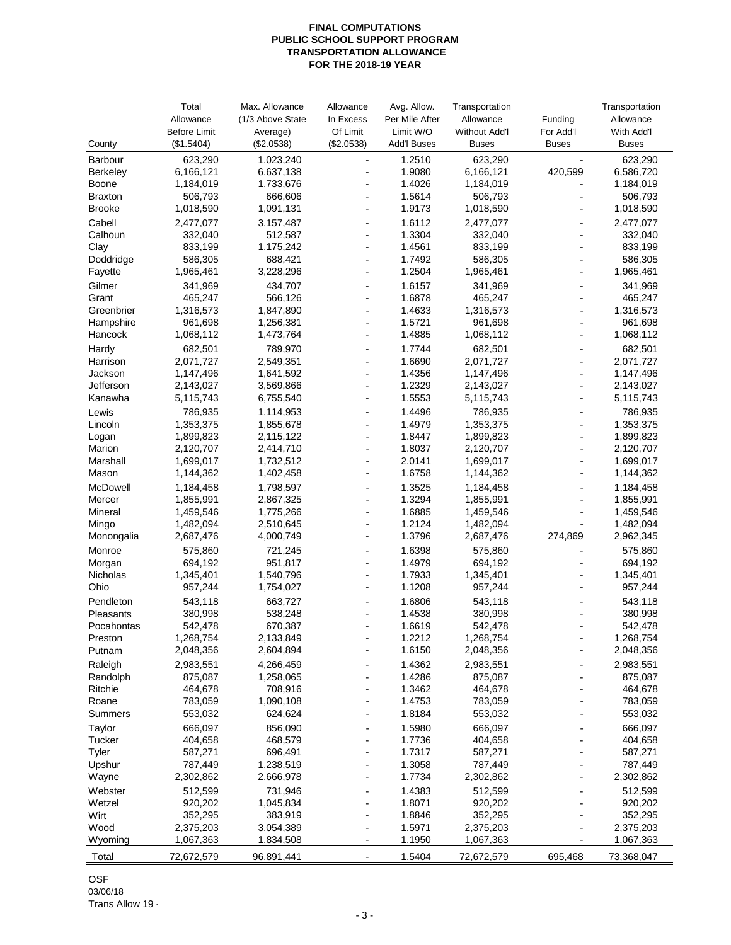|                     | Total<br>Allowance     | Max. Allowance<br>(1/3 Above State | Allowance<br>In Excess           | Avg. Allow.<br>Per Mile After | Transportation<br>Allowance | Funding        | Transportation<br>Allowance |
|---------------------|------------------------|------------------------------------|----------------------------------|-------------------------------|-----------------------------|----------------|-----------------------------|
|                     | <b>Before Limit</b>    | Average)                           | Of Limit                         | Limit W/O                     | <b>Without Add'l</b>        | For Add'l      | With Add'l                  |
| County              | (\$1.5404)             | (\$2.0538)                         | (\$2.0538)                       | <b>Add'l Buses</b>            | <b>Buses</b>                | <b>Buses</b>   | <b>Buses</b>                |
| Barbour             | 623,290                | 1,023,240                          | $\blacksquare$                   | 1.2510                        | 623,290                     |                | 623,290                     |
| <b>Berkeley</b>     | 6,166,121              | 6,637,138                          | L,                               | 1.9080                        | 6,166,121                   | 420,599        | 6,586,720                   |
| Boone               | 1,184,019              | 1,733,676                          |                                  | 1.4026                        | 1,184,019                   |                | 1,184,019                   |
| <b>Braxton</b>      | 506,793                | 666,606                            | $\blacksquare$                   | 1.5614                        | 506,793                     |                | 506,793                     |
| <b>Brooke</b>       | 1,018,590              | 1,091,131                          | $\overline{a}$                   | 1.9173                        | 1,018,590                   |                | 1,018,590                   |
| Cabell              | 2,477,077              | 3,157,487                          | ٠                                | 1.6112                        | 2,477,077                   |                | 2,477,077                   |
| Calhoun             | 332,040                | 512,587                            | $\blacksquare$                   | 1.3304                        | 332,040                     |                | 332,040                     |
| Clay<br>Doddridge   | 833,199<br>586,305     | 1,175,242<br>688,421               | $\blacksquare$<br>$\overline{a}$ | 1.4561<br>1.7492              | 833,199<br>586,305          |                | 833,199<br>586,305          |
| Fayette             | 1,965,461              | 3,228,296                          | ÷,                               | 1.2504                        | 1,965,461                   |                | 1,965,461                   |
| Gilmer              | 341,969                | 434,707                            | ÷,                               | 1.6157                        | 341,969                     |                | 341,969                     |
| Grant               | 465,247                | 566,126                            | ÷,                               | 1.6878                        | 465,247                     |                | 465,247                     |
| Greenbrier          | 1,316,573              | 1,847,890                          | $\overline{\phantom{a}}$         | 1.4633                        | 1,316,573                   | $\blacksquare$ | 1,316,573                   |
| Hampshire           | 961,698                | 1,256,381                          | $\blacksquare$                   | 1.5721                        | 961,698                     |                | 961,698                     |
| Hancock             | 1,068,112              | 1,473,764                          | $\blacksquare$                   | 1.4885                        | 1,068,112                   |                | 1,068,112                   |
| Hardy               | 682,501                | 789,970                            | $\blacksquare$                   | 1.7744                        | 682,501                     |                | 682,501                     |
| Harrison            | 2,071,727              | 2,549,351                          | $\overline{a}$                   | 1.6690                        | 2,071,727                   |                | 2,071,727                   |
| Jackson             | 1,147,496              | 1,641,592                          | $\overline{a}$                   | 1.4356                        | 1,147,496                   |                | 1,147,496                   |
| Jefferson           | 2,143,027              | 3,569,866                          | $\overline{a}$                   | 1.2329                        | 2,143,027                   |                | 2,143,027                   |
| Kanawha             | 5,115,743              | 6,755,540                          | $\overline{a}$                   | 1.5553                        | 5,115,743                   |                | 5,115,743                   |
| Lewis               | 786,935                | 1,114,953                          | $\overline{a}$                   | 1.4496                        | 786,935                     |                | 786,935                     |
| Lincoln             | 1,353,375              | 1,855,678                          | $\blacksquare$                   | 1.4979                        | 1,353,375                   |                | 1,353,375                   |
| Logan<br>Marion     | 1,899,823<br>2,120,707 | 2,115,122<br>2,414,710             | L,                               | 1.8447<br>1.8037              | 1,899,823                   |                | 1,899,823                   |
| Marshall            | 1,699,017              | 1,732,512                          | $\overline{\phantom{a}}$         | 2.0141                        | 2,120,707<br>1,699,017      | $\blacksquare$ | 2,120,707<br>1,699,017      |
| Mason               | 1,144,362              | 1,402,458                          | $\overline{a}$                   | 1.6758                        | 1,144,362                   |                | 1,144,362                   |
| McDowell            | 1,184,458              | 1,798,597                          | $\overline{a}$                   | 1.3525                        | 1,184,458                   |                | 1,184,458                   |
| Mercer              | 1,855,991              | 2,867,325                          | $\blacksquare$                   | 1.3294                        | 1,855,991                   |                | 1,855,991                   |
| Mineral             | 1,459,546              | 1,775,266                          | $\overline{a}$                   | 1.6885                        | 1,459,546                   |                | 1,459,546                   |
| Mingo               | 1,482,094              | 2,510,645                          | $\overline{a}$                   | 1.2124                        | 1,482,094                   |                | 1,482,094                   |
| Monongalia          | 2,687,476              | 4,000,749                          | L,                               | 1.3796                        | 2,687,476                   | 274,869        | 2,962,345                   |
| Monroe              | 575,860                | 721,245                            | ÷,                               | 1.6398                        | 575,860                     |                | 575,860                     |
| Morgan              | 694,192                | 951,817                            |                                  | 1.4979                        | 694,192                     |                | 694,192                     |
| Nicholas            | 1,345,401              | 1,540,796                          | $\blacksquare$                   | 1.7933                        | 1,345,401                   | ٠              | 1,345,401                   |
| Ohio                | 957,244                | 1,754,027                          | $\overline{a}$                   | 1.1208                        | 957,244                     |                | 957,244                     |
| Pendleton           | 543,118                | 663,727                            | $\overline{a}$                   | 1.6806                        | 543,118                     |                | 543,118                     |
| Pleasants           | 380,998                | 538,248                            | $\blacksquare$                   | 1.4538                        | 380,998                     |                | 380,998                     |
| Pocahontas          | 542,478                | 670,387                            | $\overline{a}$                   | 1.6619                        | 542,478                     |                | 542,478                     |
| Preston<br>Putnam   | 1,268,754<br>2,048,356 | 2,133,849<br>2,604,894             |                                  | 1.2212<br>1.6150              | 1,268,754<br>2,048,356      |                | 1,268,754<br>2,048,356      |
|                     | 2,983,551              | 4,266,459                          |                                  | 1.4362                        | 2,983,551                   |                | 2,983,551                   |
| Raleigh<br>Randolph | 875,087                | 1,258,065                          |                                  | 1.4286                        | 875,087                     |                | 875,087                     |
| Ritchie             | 464,678                | 708,916                            |                                  | 1.3462                        | 464,678                     |                | 464,678                     |
| Roane               | 783,059                | 1,090,108                          |                                  | 1.4753                        | 783,059                     |                | 783,059                     |
| Summers             | 553,032                | 624,624                            |                                  | 1.8184                        | 553,032                     |                | 553,032                     |
| Taylor              | 666,097                | 856,090                            |                                  | 1.5980                        | 666,097                     |                | 666,097                     |
| Tucker              | 404,658                | 468,579                            |                                  | 1.7736                        | 404,658                     |                | 404,658                     |
| Tyler               | 587,271                | 696,491                            |                                  | 1.7317                        | 587,271                     |                | 587,271                     |
| Upshur              | 787,449                | 1,238,519                          |                                  | 1.3058                        | 787,449                     |                | 787,449                     |
| Wayne               | 2,302,862              | 2,666,978                          | Ĭ.                               | 1.7734                        | 2,302,862                   |                | 2,302,862                   |
| Webster             | 512,599                | 731,946                            |                                  | 1.4383                        | 512,599                     |                | 512,599                     |
| Wetzel              | 920,202                | 1,045,834                          |                                  | 1.8071                        | 920,202                     |                | 920,202                     |
| Wirt                | 352,295                | 383,919                            |                                  | 1.8846                        | 352,295                     |                | 352,295                     |
| Wood<br>Wyoming     | 2,375,203<br>1,067,363 | 3,054,389<br>1,834,508             | $\blacksquare$<br>$\overline{a}$ | 1.5971<br>1.1950              | 2,375,203<br>1,067,363      |                | 2,375,203<br>1,067,363      |
|                     |                        |                                    |                                  |                               |                             |                |                             |
| Total               | 72,672,579             | 96,891,441                         |                                  | 1.5404                        | 72,672,579                  | 695,468        | 73,368,047                  |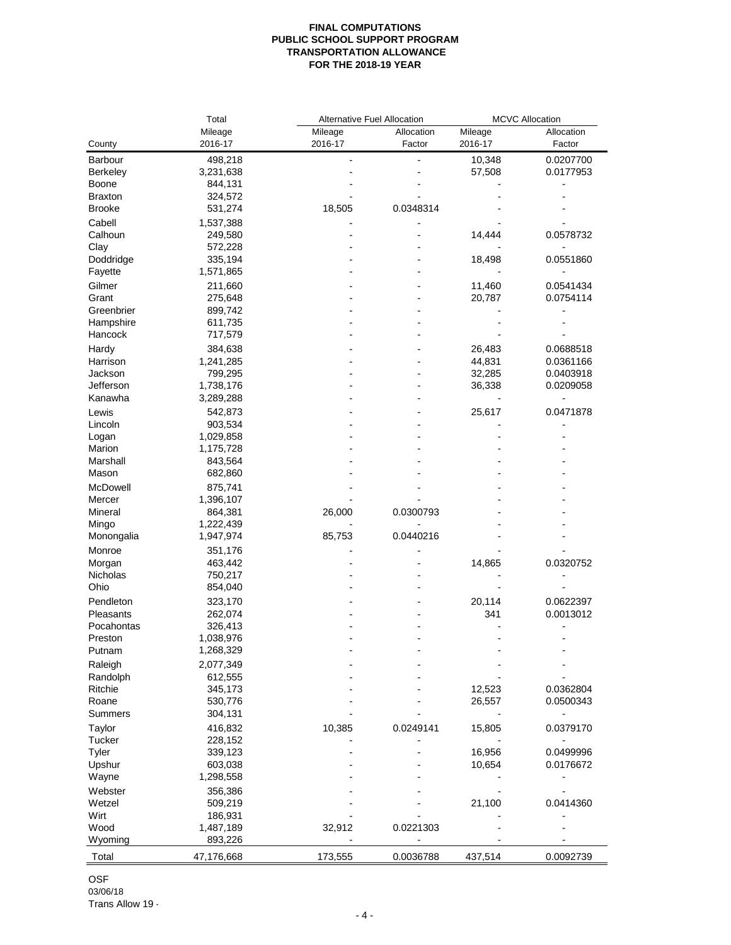|                    | Total              | Alternative Fuel Allocation |            | <b>MCVC Allocation</b> |            |  |
|--------------------|--------------------|-----------------------------|------------|------------------------|------------|--|
|                    | Mileage            | Mileage                     | Allocation | Mileage                | Allocation |  |
| County             | 2016-17            | 2016-17                     | Factor     | 2016-17                | Factor     |  |
| Barbour            | 498,218            |                             |            | 10,348                 | 0.0207700  |  |
| Berkeley           | 3,231,638          |                             |            | 57,508                 | 0.0177953  |  |
| Boone              | 844,131            |                             |            |                        |            |  |
| <b>Braxton</b>     | 324,572            |                             |            |                        |            |  |
| <b>Brooke</b>      | 531,274            | 18,505                      | 0.0348314  |                        |            |  |
| Cabell             |                    |                             |            |                        |            |  |
| Calhoun            | 1,537,388          |                             |            |                        |            |  |
|                    | 249,580            |                             |            | 14,444                 | 0.0578732  |  |
| Clay               | 572,228            |                             |            |                        |            |  |
| Doddridge          | 335,194            |                             |            | 18,498                 | 0.0551860  |  |
| Fayette            | 1,571,865          |                             |            |                        |            |  |
| Gilmer             | 211,660            |                             |            | 11,460                 | 0.0541434  |  |
| Grant              | 275,648            |                             |            | 20,787                 | 0.0754114  |  |
| Greenbrier         | 899,742            |                             |            |                        |            |  |
| Hampshire          | 611,735            |                             |            |                        |            |  |
| Hancock            | 717,579            |                             |            |                        |            |  |
| Hardy              | 384,638            |                             |            | 26,483                 | 0.0688518  |  |
| Harrison           | 1,241,285          |                             |            | 44,831                 | 0.0361166  |  |
| Jackson            | 799,295            |                             |            | 32,285                 | 0.0403918  |  |
| Jefferson          | 1,738,176          |                             |            | 36,338                 | 0.0209058  |  |
| Kanawha            | 3,289,288          |                             |            |                        |            |  |
| Lewis              | 542,873            |                             |            | 25,617                 | 0.0471878  |  |
| Lincoln            | 903,534            |                             |            |                        |            |  |
| Logan              | 1,029,858          |                             |            |                        |            |  |
| Marion             | 1,175,728          |                             |            |                        |            |  |
| Marshall           | 843,564            |                             |            |                        |            |  |
| Mason              | 682,860            |                             |            |                        |            |  |
| McDowell           | 875,741            |                             |            |                        |            |  |
| Mercer             | 1,396,107          |                             |            |                        |            |  |
| Mineral            | 864,381            | 26,000                      | 0.0300793  |                        |            |  |
| Mingo              | 1,222,439          |                             |            |                        |            |  |
| Monongalia         | 1,947,974          | 85,753                      | 0.0440216  |                        |            |  |
| Monroe             | 351,176            |                             |            |                        |            |  |
|                    |                    |                             |            |                        | 0.0320752  |  |
| Morgan<br>Nicholas | 463,442<br>750,217 |                             |            | 14,865                 |            |  |
| Ohio               | 854,040            |                             |            |                        |            |  |
|                    |                    |                             |            |                        |            |  |
| Pendleton          | 323,170            |                             |            | 20,114                 | 0.0622397  |  |
| Pleasants          | 262,074            |                             |            | 341                    | 0.0013012  |  |
| Pocahontas         | 326,413            |                             |            |                        |            |  |
| Preston            | 1,038,976          |                             |            |                        |            |  |
| Putnam             | 1,268,329          |                             |            |                        |            |  |
| Raleigh            | 2,077,349          |                             |            |                        |            |  |
| Randolph           | 612,555            |                             |            |                        |            |  |
| Ritchie            | 345,173            |                             |            | 12,523                 | 0.0362804  |  |
| Roane              | 530,776            |                             |            | 26,557                 | 0.0500343  |  |
| Summers            | 304,131            |                             |            |                        |            |  |
| Taylor             | 416,832            | 10,385                      | 0.0249141  | 15,805                 | 0.0379170  |  |
| Tucker             | 228,152            |                             |            |                        |            |  |
| Tyler              | 339,123            |                             |            | 16,956                 | 0.0499996  |  |
| Upshur             | 603,038            |                             |            | 10,654                 | 0.0176672  |  |
| Wayne              | 1,298,558          |                             |            |                        |            |  |
| Webster            | 356,386            |                             |            |                        |            |  |
| Wetzel             | 509,219            |                             |            | 21,100                 | 0.0414360  |  |
| Wirt               | 186,931            |                             |            |                        |            |  |
| Wood               | 1,487,189          | 32,912                      | 0.0221303  |                        |            |  |
| Wyoming            | 893,226            |                             |            |                        |            |  |
|                    |                    |                             |            |                        |            |  |
| Total              | 47,176,668         | 173,555                     | 0.0036788  | 437,514                | 0.0092739  |  |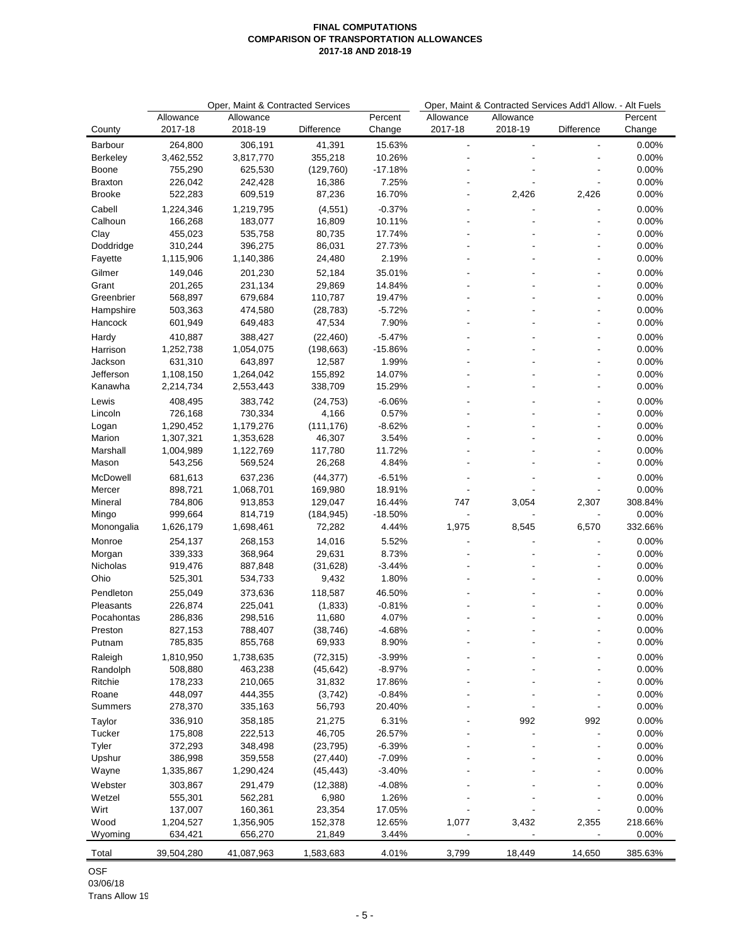|                       |                    | Oper, Maint & Contracted Services |                     | Oper, Maint & Contracted Services Add'l Allow. - Alt Fuels |               |           |                |                |
|-----------------------|--------------------|-----------------------------------|---------------------|------------------------------------------------------------|---------------|-----------|----------------|----------------|
|                       | Allowance          | Allowance                         |                     | Percent                                                    | Allowance     | Allowance |                | Percent        |
| County                | 2017-18            | 2018-19                           | Difference          | Change                                                     | 2017-18       | 2018-19   | Difference     | Change         |
| Barbour               | 264,800            | 306,191                           | 41,391              | 15.63%                                                     | $\frac{1}{2}$ |           | $\overline{a}$ | 0.00%          |
| Berkeley              | 3,462,552          | 3,817,770                         | 355,218             | 10.26%                                                     |               |           |                | 0.00%          |
| Boone                 | 755,290            | 625,530                           | (129, 760)          | $-17.18%$                                                  |               |           |                | 0.00%          |
| <b>Braxton</b>        | 226,042            | 242,428                           | 16,386              | 7.25%                                                      |               |           |                | 0.00%          |
| <b>Brooke</b>         | 522,283            | 609,519                           | 87,236              | 16.70%                                                     |               | 2,426     | 2,426          | 0.00%          |
| Cabell                | 1,224,346          | 1,219,795                         | (4, 551)            | $-0.37%$                                                   |               |           |                | 0.00%          |
| Calhoun               | 166,268            | 183,077                           | 16,809              | 10.11%                                                     |               |           |                | 0.00%          |
| Clay                  | 455,023            | 535,758                           | 80,735              | 17.74%                                                     |               |           |                | 0.00%          |
| Doddridge             | 310,244            | 396,275                           | 86,031<br>24,480    | 27.73%<br>2.19%                                            |               |           |                | 0.00%<br>0.00% |
| Fayette               | 1,115,906          | 1,140,386                         |                     |                                                            |               |           |                |                |
| Gilmer                | 149,046            | 201,230                           | 52,184              | 35.01%                                                     |               |           |                | 0.00%          |
| Grant<br>Greenbrier   | 201,265<br>568,897 | 231,134<br>679,684                | 29,869<br>110,787   | 14.84%<br>19.47%                                           |               |           |                | 0.00%<br>0.00% |
| Hampshire             | 503,363            | 474,580                           | (28, 783)           | $-5.72%$                                                   |               |           |                | 0.00%          |
| Hancock               | 601,949            | 649,483                           | 47,534              | 7.90%                                                      |               |           |                | 0.00%          |
| Hardy                 | 410,887            | 388,427                           | (22, 460)           | $-5.47%$                                                   |               |           |                | 0.00%          |
| Harrison              | 1,252,738          | 1,054,075                         | (198, 663)          | $-15.86%$                                                  |               |           |                | 0.00%          |
| Jackson               | 631,310            | 643,897                           | 12,587              | 1.99%                                                      |               |           |                | 0.00%          |
| Jefferson             | 1,108,150          | 1,264,042                         | 155,892             | 14.07%                                                     |               |           |                | 0.00%          |
| Kanawha               | 2,214,734          | 2,553,443                         | 338,709             | 15.29%                                                     |               |           |                | 0.00%          |
| Lewis                 | 408,495            | 383,742                           | (24, 753)           | $-6.06%$                                                   |               |           |                | 0.00%          |
| Lincoln               | 726,168            | 730,334                           | 4,166               | 0.57%                                                      |               |           |                | 0.00%          |
| Logan                 | 1,290,452          | 1,179,276                         | (111, 176)          | $-8.62%$                                                   |               |           |                | 0.00%          |
| Marion                | 1,307,321          | 1,353,628                         | 46,307              | 3.54%                                                      |               |           | ÷,             | 0.00%          |
| Marshall              | 1,004,989          | 1,122,769                         | 117,780             | 11.72%                                                     |               |           |                | 0.00%          |
| Mason                 | 543,256            | 569,524                           | 26,268              | 4.84%                                                      |               |           |                | 0.00%          |
| McDowell              | 681,613            | 637,236                           | (44, 377)           | $-6.51%$                                                   |               |           |                | 0.00%          |
| Mercer                | 898,721            | 1,068,701                         | 169,980             | 18.91%                                                     |               |           |                | 0.00%          |
| Mineral               | 784,806            | 913,853                           | 129,047             | 16.44%                                                     | 747           | 3,054     | 2,307          | 308.84%        |
| Mingo                 | 999,664            | 814,719                           | (184, 945)          | $-18.50%$                                                  |               |           |                | 0.00%          |
| Monongalia            | 1,626,179          | 1,698,461                         | 72,282              | 4.44%                                                      | 1,975         | 8,545     | 6,570          | 332.66%        |
| Monroe                | 254,137            | 268,153                           | 14,016              | 5.52%                                                      |               |           |                | 0.00%          |
| Morgan                | 339,333            | 368,964                           | 29,631              | 8.73%                                                      |               |           |                | 0.00%          |
| Nicholas              | 919,476            | 887,848                           | (31, 628)           | $-3.44%$                                                   |               |           |                | 0.00%          |
| Ohio                  | 525,301            | 534,733                           | 9,432               | 1.80%                                                      |               |           |                | 0.00%          |
| Pendleton             | 255,049            | 373,636                           | 118,587             | 46.50%                                                     |               |           |                | 0.00%          |
| Pleasants             | 226,874            | 225,041                           | (1,833)             | $-0.81%$<br>4.07%                                          |               |           |                | 0.00%<br>0.00% |
| Pocahontas<br>Preston | 286,836<br>827,153 | 298,516<br>788,407                | 11,680<br>(38, 746) | $-4.68%$                                                   |               |           |                | 0.00%          |
| Putnam                | 785,835            | 855,768                           | 69,933              | 8.90%                                                      |               |           |                | 0.00%          |
| Raleigh               | 1,810,950          | 1,738,635                         | (72, 315)           | $-3.99%$                                                   |               |           |                | 0.00%          |
| Randolph              | 508,880            | 463,238                           | (45, 642)           | $-8.97%$                                                   |               |           |                | 0.00%          |
| Ritchie               | 178,233            | 210,065                           | 31,832              | 17.86%                                                     |               |           |                | 0.00%          |
| Roane                 | 448,097            | 444,355                           | (3,742)             | $-0.84%$                                                   |               |           |                | 0.00%          |
| Summers               | 278,370            | 335,163                           | 56,793              | 20.40%                                                     |               |           |                | 0.00%          |
| Taylor                | 336,910            | 358,185                           | 21,275              | 6.31%                                                      |               | 992       | 992            | 0.00%          |
| Tucker                | 175,808            | 222,513                           | 46,705              | 26.57%                                                     |               |           | Ĭ.             | 0.00%          |
| Tyler                 | 372,293            | 348,498                           | (23, 795)           | $-6.39%$                                                   |               |           |                | 0.00%          |
| Upshur                | 386,998            | 359,558                           | (27, 440)           | $-7.09%$                                                   |               |           |                | 0.00%          |
| Wayne                 | 1,335,867          | 1,290,424                         | (45, 443)           | -3.40%                                                     |               |           |                | 0.00%          |
| Webster               | 303,867            | 291,479                           | (12, 388)           | $-4.08%$                                                   |               |           |                | 0.00%          |
| Wetzel                | 555,301            | 562,281                           | 6,980               | 1.26%                                                      |               |           |                | 0.00%          |
| Wirt                  | 137,007            | 160,361                           | 23,354              | 17.05%                                                     |               |           |                | 0.00%          |
| Wood                  | 1,204,527          | 1,356,905                         | 152,378             | 12.65%                                                     | 1,077         | 3,432     | 2,355          | 218.66%        |
| Wyoming               | 634,421            | 656,270                           | 21,849              | 3.44%                                                      |               |           |                | 0.00%          |
| Total                 | 39,504,280         | 41,087,963                        | 1,583,683           | 4.01%                                                      | 3,799         | 18,449    | 14,650         | 385.63%        |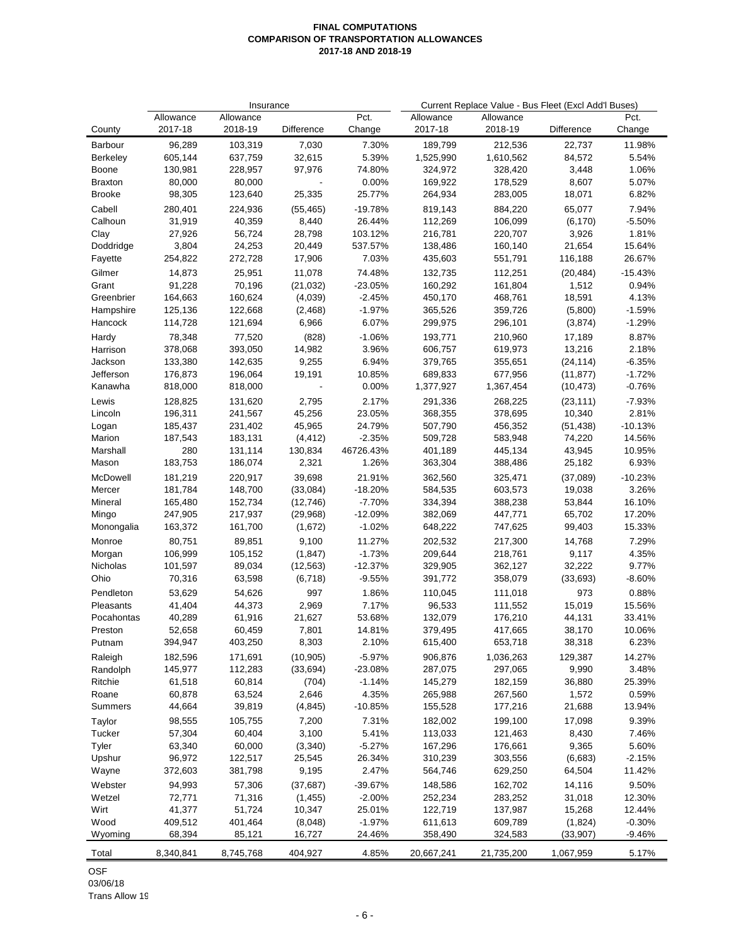|                  |           | Insurance |            | Current Replace Value - Bus Fleet (Excl Add'l Buses) |            |            |            |           |
|------------------|-----------|-----------|------------|------------------------------------------------------|------------|------------|------------|-----------|
|                  | Allowance | Allowance |            | Pct.                                                 | Allowance  | Allowance  |            | Pct.      |
| County           | 2017-18   | 2018-19   | Difference | Change                                               | 2017-18    | 2018-19    | Difference | Change    |
| Barbour          | 96,289    | 103,319   | 7,030      | 7.30%                                                | 189,799    | 212,536    | 22,737     | 11.98%    |
| <b>Berkeley</b>  | 605,144   | 637,759   | 32,615     | 5.39%                                                | 1,525,990  | 1,610,562  | 84,572     | 5.54%     |
| Boone            | 130,981   | 228,957   | 97,976     | 74.80%                                               | 324,972    | 328,420    | 3,448      | 1.06%     |
| Braxton          | 80,000    | 80,000    |            | 0.00%                                                | 169,922    | 178,529    | 8,607      | 5.07%     |
| Brooke           | 98,305    | 123,640   | 25,335     | 25.77%                                               | 264,934    | 283,005    | 18,071     | 6.82%     |
| Cabell           | 280,401   | 224,936   | (55, 465)  | $-19.78%$                                            | 819,143    | 884,220    | 65,077     | 7.94%     |
| Calhoun          | 31,919    | 40,359    | 8,440      | 26.44%                                               | 112,269    | 106,099    | (6, 170)   | $-5.50%$  |
| Clay             | 27,926    | 56,724    | 28,798     | 103.12%                                              | 216,781    | 220,707    | 3,926      | 1.81%     |
| Doddridge        | 3,804     | 24,253    | 20,449     | 537.57%                                              | 138,486    | 160,140    | 21,654     | 15.64%    |
| Fayette          | 254,822   | 272,728   | 17,906     | 7.03%                                                | 435,603    | 551,791    | 116,188    | 26.67%    |
| Gilmer           | 14,873    | 25,951    | 11,078     | 74.48%                                               | 132,735    | 112,251    | (20, 484)  | $-15.43%$ |
| Grant            | 91,228    | 70,196    | (21, 032)  | $-23.05%$                                            | 160,292    | 161,804    | 1,512      | 0.94%     |
| Greenbrier       | 164,663   | 160,624   | (4,039)    | $-2.45%$                                             | 450,170    | 468,761    | 18,591     | 4.13%     |
| Hampshire        | 125,136   | 122,668   | (2, 468)   | $-1.97%$                                             | 365,526    | 359,726    | (5,800)    | $-1.59%$  |
| Hancock          | 114,728   | 121,694   | 6,966      | 6.07%                                                | 299,975    | 296,101    | (3,874)    | $-1.29%$  |
| Hardy            | 78,348    | 77,520    | (828)      | $-1.06%$                                             | 193,771    | 210,960    | 17,189     | 8.87%     |
| Harrison         | 378,068   | 393,050   | 14,982     | 3.96%                                                | 606,757    | 619,973    | 13,216     | 2.18%     |
| Jackson          | 133,380   | 142,635   | 9,255      | 6.94%                                                | 379,765    | 355,651    | (24, 114)  | $-6.35%$  |
| Jefferson        | 176,873   | 196,064   | 19,191     | 10.85%                                               | 689,833    | 677,956    | (11, 877)  | $-1.72%$  |
| Kanawha          | 818,000   | 818,000   |            | $0.00\%$                                             | 1,377,927  | 1,367,454  | (10, 473)  | $-0.76%$  |
| Lewis            | 128,825   | 131,620   | 2,795      | 2.17%                                                | 291,336    | 268,225    | (23, 111)  | $-7.93%$  |
| Lincoln          | 196,311   | 241,567   | 45,256     | 23.05%                                               | 368,355    | 378,695    | 10,340     | 2.81%     |
| Logan            | 185,437   | 231,402   | 45,965     | 24.79%                                               | 507,790    | 456,352    | (51, 438)  | $-10.13%$ |
| Marion           | 187,543   | 183,131   | (4, 412)   | $-2.35%$                                             | 509,728    | 583,948    | 74,220     | 14.56%    |
| Marshall         | 280       | 131,114   | 130,834    | 46726.43%                                            | 401,189    | 445,134    | 43,945     | 10.95%    |
| Mason            | 183,753   | 186,074   | 2,321      | 1.26%                                                | 363,304    | 388,486    | 25,182     | 6.93%     |
| McDowell         | 181,219   | 220,917   | 39,698     | 21.91%                                               | 362,560    | 325,471    | (37,089)   | $-10.23%$ |
| Mercer           | 181,784   | 148,700   | (33,084)   | $-18.20%$                                            | 584,535    | 603,573    | 19,038     | 3.26%     |
| Mineral          | 165,480   | 152,734   | (12, 746)  | $-7.70%$                                             | 334,394    | 388,238    | 53,844     | 16.10%    |
| Mingo            | 247,905   | 217,937   | (29,968)   | -12.09%                                              | 382,069    | 447,771    | 65,702     | 17.20%    |
| Monongalia       | 163,372   | 161,700   | (1,672)    | $-1.02%$                                             | 648,222    | 747,625    | 99,403     | 15.33%    |
| Monroe           | 80,751    | 89,851    | 9,100      | 11.27%                                               | 202,532    | 217,300    | 14,768     | 7.29%     |
| Morgan           | 106,999   | 105,152   | (1, 847)   | $-1.73%$                                             | 209,644    | 218,761    | 9,117      | 4.35%     |
| <b>Nicholas</b>  | 101,597   | 89,034    | (12, 563)  | $-12.37%$                                            | 329,905    | 362,127    | 32,222     | 9.77%     |
| Ohio             | 70,316    | 63,598    | (6, 718)   | $-9.55%$                                             | 391,772    | 358,079    | (33, 693)  | $-8.60%$  |
| Pendleton        | 53,629    | 54,626    | 997        | 1.86%                                                | 110,045    | 111,018    | 973        | 0.88%     |
| Pleasants        | 41,404    | 44,373    | 2,969      | 7.17%                                                | 96,533     | 111,552    | 15,019     | 15.56%    |
| Pocahontas       | 40,289    | 61,916    | 21,627     | 53.68%                                               | 132,079    | 176,210    | 44,131     | 33.41%    |
| Preston          | 52,658    | 60,459    | 7,801      | 14.81%                                               | 379,495    | 417,665    | 38,170     | 10.06%    |
| Putnam           | 394,947   | 403,250   | 8,303      | 2.10%                                                | 615,400    | 653,718    | 38,318     | 6.23%     |
| Raleigh          | 182,596   | 171,691   | (10, 905)  | $-5.97%$                                             | 906,876    | 1,036,263  | 129,387    | 14.27%    |
| Randolph         | 145,977   | 112,283   | (33, 694)  | -23.08%                                              | 287,075    | 297,065    | 9,990      | 3.48%     |
| Ritchie          | 61,518    | 60,814    | (704)      | $-1.14%$                                             | 145,279    | 182,159    | 36,880     | 25.39%    |
| Roane<br>Summers | 60,878    | 63,524    | 2,646      | 4.35%<br>$-10.85%$                                   | 265,988    | 267,560    | 1,572      | 0.59%     |
|                  | 44,664    | 39,819    | (4, 845)   |                                                      | 155,528    | 177,216    | 21,688     | 13.94%    |
| Taylor           | 98,555    | 105,755   | 7,200      | 7.31%                                                | 182,002    | 199,100    | 17,098     | 9.39%     |
| Tucker           | 57,304    | 60,404    | 3,100      | 5.41%                                                | 113,033    | 121,463    | 8,430      | 7.46%     |
| Tyler            | 63,340    | 60,000    | (3,340)    | $-5.27%$                                             | 167,296    | 176,661    | 9,365      | 5.60%     |
| Upshur           | 96,972    | 122,517   | 25,545     | 26.34%                                               | 310,239    | 303,556    | (6,683)    | $-2.15%$  |
| Wayne            | 372,603   | 381,798   | 9,195      | 2.47%                                                | 564,746    | 629,250    | 64,504     | 11.42%    |
| Webster          | 94,993    | 57,306    | (37, 687)  | -39.67%                                              | 148,586    | 162,702    | 14,116     | 9.50%     |
| Wetzel           | 72,771    | 71,316    | (1, 455)   | $-2.00%$                                             | 252,234    | 283,252    | 31,018     | 12.30%    |
| Wirt             | 41,377    | 51,724    | 10,347     | 25.01%                                               | 122,719    | 137,987    | 15,268     | 12.44%    |
| Wood             | 409,512   | 401,464   | (8,048)    | $-1.97%$                                             | 611,613    | 609,789    | (1,824)    | $-0.30%$  |
| Wyoming          | 68,394    | 85,121    | 16,727     | 24.46%                                               | 358,490    | 324,583    | (33, 907)  | $-9.46%$  |
| Total            | 8,340,841 | 8,745,768 | 404,927    | 4.85%                                                | 20,667,241 | 21,735,200 | 1,067,959  | 5.17%     |

OSF 03/06/18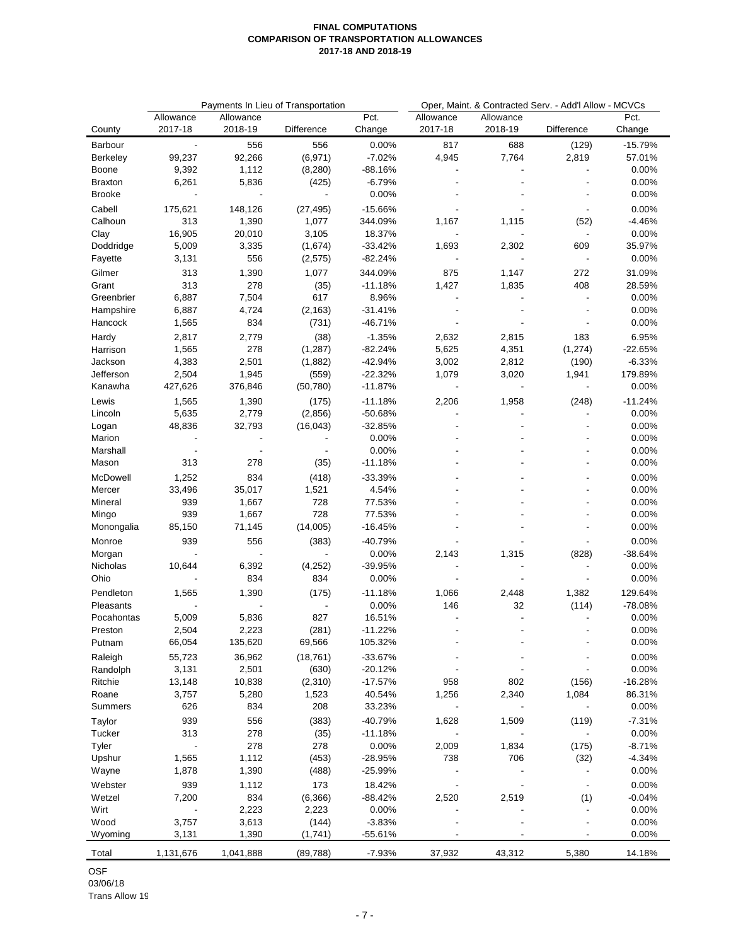|               |                |              | Payments In Lieu of Transportation |                     | Oper, Maint. & Contracted Serv. - Add'l Allow - MCVCs |           |            |           |  |
|---------------|----------------|--------------|------------------------------------|---------------------|-------------------------------------------------------|-----------|------------|-----------|--|
|               | Allowance      | Allowance    |                                    | Pct.                | Allowance                                             | Allowance |            | Pct.      |  |
| County        | 2017-18        | 2018-19      | Difference                         | Change              | 2017-18                                               | 2018-19   | Difference | Change    |  |
| Barbour       | $\blacksquare$ | 556          | 556                                | 0.00%               | 817                                                   | 688       | (129)      | $-15.79%$ |  |
| Berkeley      | 99,237         | 92,266       | (6,971)                            | $-7.02%$            | 4,945                                                 | 7,764     | 2,819      | 57.01%    |  |
| Boone         | 9,392          | 1,112        | (8, 280)                           | -88.16%             |                                                       |           |            | 0.00%     |  |
| Braxton       | 6,261          | 5,836        | (425)                              | -6.79%              |                                                       |           |            | 0.00%     |  |
| <b>Brooke</b> |                |              | $\overline{a}$                     | 0.00%               |                                                       |           |            | 0.00%     |  |
| Cabell        | 175,621        | 148,126      | (27, 495)                          | $-15.66%$           |                                                       |           |            | 0.00%     |  |
| Calhoun       | 313            | 1,390        | 1,077                              | 344.09%             | 1,167                                                 | 1,115     | (52)       | $-4.46%$  |  |
| Clay          | 16,905         | 20,010       | 3,105                              | 18.37%              |                                                       |           |            | 0.00%     |  |
| Doddridge     | 5,009          | 3,335        | (1,674)                            | $-33.42%$           | 1,693                                                 | 2,302     | 609        | 35.97%    |  |
| Fayette       | 3,131          | 556          | (2,575)                            | $-82.24%$           |                                                       |           |            | 0.00%     |  |
| Gilmer        | 313            | 1,390        | 1,077                              | 344.09%             | 875                                                   | 1,147     | 272        | 31.09%    |  |
| Grant         | 313            | 278          | (35)                               | $-11.18%$           | 1,427                                                 | 1,835     | 408        | 28.59%    |  |
| Greenbrier    | 6,887          | 7,504        | 617                                | 8.96%               |                                                       |           |            | 0.00%     |  |
| Hampshire     | 6,887          | 4,724        | (2, 163)                           | $-31.41%$           |                                                       |           |            | 0.00%     |  |
| Hancock       | 1,565          | 834          | (731)                              | -46.71%             |                                                       |           |            | 0.00%     |  |
| Hardy         | 2,817          | 2,779        | (38)                               | $-1.35%$            | 2,632                                                 | 2,815     | 183        | 6.95%     |  |
| Harrison      | 1,565          | 278          | (1, 287)                           | -82.24%             | 5,625                                                 | 4,351     | (1, 274)   | $-22.65%$ |  |
| Jackson       | 4,383          | 2,501        | (1,882)                            | $-42.94%$           | 3,002                                                 | 2,812     | (190)      | $-6.33%$  |  |
| Jefferson     | 2,504          | 1,945        | (559)                              | $-22.32%$           | 1,079                                                 | 3,020     | 1,941      | 179.89%   |  |
| Kanawha       | 427,626        | 376,846      | (50, 780)                          | $-11.87%$           |                                                       |           |            | 0.00%     |  |
| Lewis         | 1,565          | 1,390        | (175)                              | $-11.18%$           | 2,206                                                 | 1,958     | (248)      | $-11.24%$ |  |
| Lincoln       | 5,635          | 2,779        | (2,856)                            | $-50.68%$           |                                                       |           |            | 0.00%     |  |
| Logan         | 48,836         | 32,793       | (16, 043)                          | $-32.85%$           |                                                       |           |            | 0.00%     |  |
| Marion        |                |              |                                    | 0.00%               |                                                       |           |            | 0.00%     |  |
| Marshall      |                |              |                                    | 0.00%               |                                                       |           |            | 0.00%     |  |
| Mason         | 313            | 278          | (35)                               | $-11.18%$           |                                                       |           |            | 0.00%     |  |
| McDowell      | 1,252          | 834          | (418)                              | $-33.39%$           |                                                       |           |            | 0.00%     |  |
| Mercer        | 33,496         | 35,017       | 1,521                              | 4.54%               |                                                       |           |            | 0.00%     |  |
| Mineral       | 939            | 1,667        | 728                                | 77.53%              |                                                       |           |            | 0.00%     |  |
| Mingo         | 939            | 1,667        | 728                                | 77.53%              |                                                       |           |            | 0.00%     |  |
| Monongalia    | 85,150         | 71,145       | (14,005)                           | $-16.45%$           |                                                       |           |            | 0.00%     |  |
| Monroe        | 939            | 556          | (383)                              | -40.79%             |                                                       |           |            | 0.00%     |  |
| Morgan        |                |              |                                    | 0.00%               | 2,143                                                 | 1,315     | (828)      | $-38.64%$ |  |
| Nicholas      | 10,644         | 6,392        | (4,252)                            | $-39.95%$           |                                                       |           |            | 0.00%     |  |
| Ohio          |                | 834          | 834                                | 0.00%               |                                                       |           |            | 0.00%     |  |
| Pendleton     | 1,565          | 1,390        | (175)                              | $-11.18%$           | 1,066                                                 | 2,448     | 1,382      | 129.64%   |  |
| Pleasants     |                |              |                                    | 0.00%               | 146                                                   | 32        | (114)      | -78.08%   |  |
| Pocahontas    | 5,009          | 5,836        | 827                                | 16.51%              |                                                       |           |            | 0.00%     |  |
| Preston       | 2,504          | 2,223        | (281)                              | $-11.22%$           |                                                       |           |            | 0.00%     |  |
| Putnam        | 66,054         | 135,620      | 69,566                             | 105.32%             |                                                       |           |            | 0.00%     |  |
| Raleigh       | 55,723         | 36,962       | (18, 761)                          | $-33.67%$           |                                                       |           |            | 0.00%     |  |
| Randolph      | 3,131          | 2,501        | (630)                              | $-20.12%$           |                                                       |           |            | 0.00%     |  |
| Ritchie       | 13,148         | 10,838       | (2,310)                            | $-17.57%$           | 958                                                   | 802       | (156)      | $-16.28%$ |  |
| Roane         | 3,757          | 5,280        | 1,523                              | 40.54%              | 1,256                                                 | 2,340     | 1,084      | 86.31%    |  |
| Summers       | 626            | 834          | 208                                | 33.23%              |                                                       |           |            | 0.00%     |  |
| Taylor        | 939            | 556          | (383)                              | -40.79%             | 1,628                                                 | 1,509     | (119)      | $-7.31%$  |  |
| Tucker        | 313            | 278          | (35)                               | $-11.18%$           |                                                       |           |            | 0.00%     |  |
| Tyler         |                | 278          | 278                                | 0.00%               | 2,009                                                 | 1,834     | (175)      | $-8.71%$  |  |
| Upshur        | 1,565          | 1,112        | (453)                              | $-28.95%$           | 738                                                   | 706       | (32)       | $-4.34%$  |  |
| Wayne         | 1,878          | 1,390        | (488)                              | -25.99%             |                                                       |           |            | 0.00%     |  |
| Webster       | 939            |              | 173                                |                     |                                                       |           |            | 0.00%     |  |
| Wetzel        | 7,200          | 1,112<br>834 | (6, 366)                           | 18.42%<br>$-88.42%$ | 2,520                                                 | 2,519     |            | $-0.04%$  |  |
| Wirt          |                | 2,223        | 2,223                              | 0.00%               |                                                       |           | (1)<br>٠   | 0.00%     |  |
| Wood          | 3,757          | 3,613        | (144)                              | $-3.83%$            |                                                       |           |            | 0.00%     |  |
| Wyoming       | 3,131          | 1,390        | (1,741)                            | $-55.61%$           |                                                       |           |            | 0.00%     |  |
|               |                |              |                                    |                     |                                                       |           |            |           |  |
| Total         | 1,131,676      | 1,041,888    | (89, 788)                          | $-7.93%$            | 37,932                                                | 43,312    | 5,380      | 14.18%    |  |

OSF 03/06/18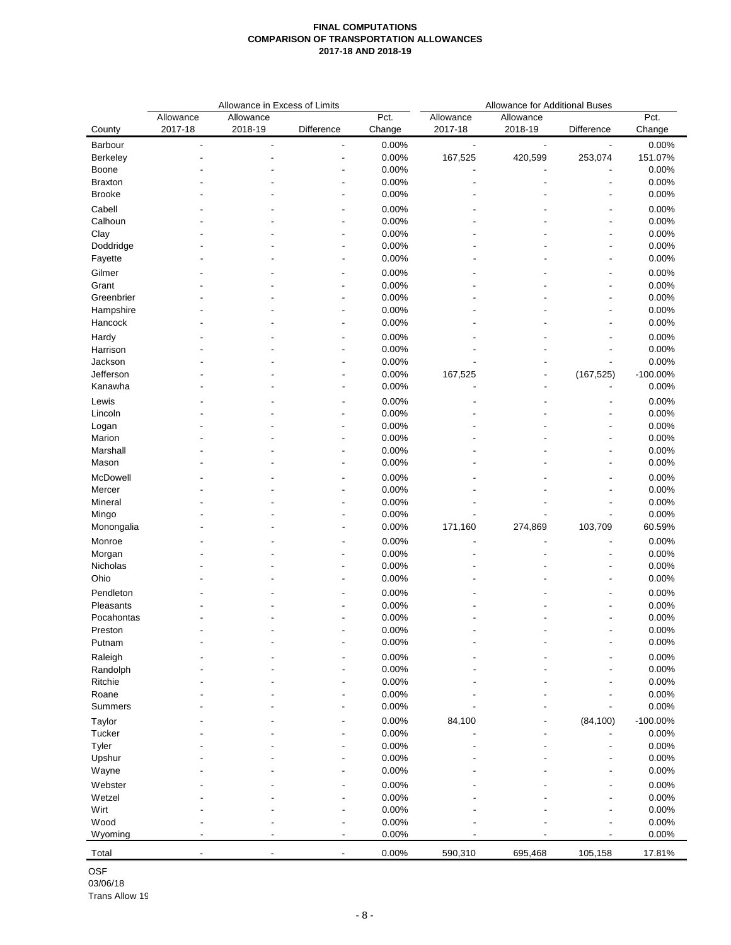|                 |                | Allowance in Excess of Limits |                |        | <b>Allowance for Additional Buses</b> |                          |                          |             |  |  |  |  |
|-----------------|----------------|-------------------------------|----------------|--------|---------------------------------------|--------------------------|--------------------------|-------------|--|--|--|--|
|                 | Allowance      | Allowance                     |                | Pct.   | Allowance                             | Allowance                |                          | Pct.        |  |  |  |  |
| County          | 2017-18        | 2018-19                       | Difference     | Change | 2017-18                               | 2018-19                  | Difference               | Change      |  |  |  |  |
| Barbour         | $\overline{a}$ | ÷,                            | $\overline{a}$ | 0.00%  | $\blacksquare$                        | $\overline{\phantom{a}}$ | $\blacksquare$           | 0.00%       |  |  |  |  |
| <b>Berkeley</b> |                |                               |                | 0.00%  | 167,525                               | 420,599                  | 253,074                  | 151.07%     |  |  |  |  |
| Boone           |                |                               |                | 0.00%  |                                       |                          |                          | 0.00%       |  |  |  |  |
| <b>Braxton</b>  |                |                               |                | 0.00%  |                                       |                          |                          | 0.00%       |  |  |  |  |
| <b>Brooke</b>   |                |                               |                | 0.00%  |                                       |                          |                          | 0.00%       |  |  |  |  |
| Cabell          |                |                               |                | 0.00%  |                                       |                          |                          | 0.00%       |  |  |  |  |
| Calhoun         |                |                               |                | 0.00%  |                                       |                          |                          | 0.00%       |  |  |  |  |
| Clay            |                |                               |                | 0.00%  |                                       |                          | $\overline{a}$           | 0.00%       |  |  |  |  |
|                 |                |                               |                | 0.00%  |                                       |                          | $\overline{a}$           | 0.00%       |  |  |  |  |
| Doddridge       |                |                               |                |        |                                       |                          |                          |             |  |  |  |  |
| Fayette         |                |                               |                | 0.00%  |                                       |                          |                          | 0.00%       |  |  |  |  |
| Gilmer          |                |                               |                | 0.00%  |                                       |                          |                          | 0.00%       |  |  |  |  |
| Grant           |                |                               |                | 0.00%  |                                       |                          |                          | 0.00%       |  |  |  |  |
| Greenbrier      |                |                               |                | 0.00%  |                                       |                          |                          | 0.00%       |  |  |  |  |
| Hampshire       |                |                               |                | 0.00%  |                                       |                          |                          | 0.00%       |  |  |  |  |
| Hancock         |                |                               |                | 0.00%  |                                       |                          |                          | 0.00%       |  |  |  |  |
| Hardy           |                |                               |                | 0.00%  |                                       |                          |                          | 0.00%       |  |  |  |  |
| Harrison        |                |                               |                | 0.00%  |                                       |                          |                          | 0.00%       |  |  |  |  |
| Jackson         |                |                               |                | 0.00%  |                                       |                          | $\overline{\phantom{a}}$ | 0.00%       |  |  |  |  |
| Jefferson       |                |                               |                | 0.00%  | 167,525                               | $\blacksquare$           | (167, 525)               | $-100.00\%$ |  |  |  |  |
| Kanawha         |                |                               |                | 0.00%  |                                       |                          |                          | 0.00%       |  |  |  |  |
| Lewis           |                |                               |                | 0.00%  |                                       |                          |                          | 0.00%       |  |  |  |  |
| Lincoln         |                |                               |                | 0.00%  |                                       |                          |                          | 0.00%       |  |  |  |  |
| Logan           |                |                               |                | 0.00%  |                                       |                          |                          | 0.00%       |  |  |  |  |
| Marion          |                |                               |                | 0.00%  |                                       |                          |                          | 0.00%       |  |  |  |  |
|                 |                |                               |                | 0.00%  |                                       |                          |                          | 0.00%       |  |  |  |  |
| Marshall        |                |                               |                |        |                                       |                          | $\overline{a}$           |             |  |  |  |  |
| Mason           |                |                               |                | 0.00%  |                                       |                          |                          | 0.00%       |  |  |  |  |
| McDowell        |                |                               |                | 0.00%  |                                       |                          |                          | 0.00%       |  |  |  |  |
| Mercer          |                |                               |                | 0.00%  |                                       |                          |                          | 0.00%       |  |  |  |  |
| Mineral         |                |                               |                | 0.00%  |                                       |                          | $\overline{a}$           | 0.00%       |  |  |  |  |
| Mingo           |                |                               |                | 0.00%  |                                       |                          | $\overline{a}$           | 0.00%       |  |  |  |  |
| Monongalia      |                |                               | ٠              | 0.00%  | 171,160                               | 274,869                  | 103,709                  | 60.59%      |  |  |  |  |
| Monroe          |                |                               |                | 0.00%  |                                       |                          | $\overline{a}$           | 0.00%       |  |  |  |  |
| Morgan          |                |                               |                | 0.00%  |                                       |                          | ÷.                       | 0.00%       |  |  |  |  |
| Nicholas        |                |                               |                | 0.00%  |                                       |                          |                          | 0.00%       |  |  |  |  |
| Ohio            |                |                               |                | 0.00%  |                                       |                          |                          | 0.00%       |  |  |  |  |
| Pendleton       |                |                               |                | 0.00%  |                                       |                          |                          | 0.00%       |  |  |  |  |
| Pleasants       |                |                               |                | 0.00%  |                                       |                          |                          | 0.00%       |  |  |  |  |
| Pocahontas      |                |                               |                | 0.00%  |                                       |                          |                          | 0.00%       |  |  |  |  |
| Preston         |                |                               |                | 0.00%  |                                       |                          |                          | 0.00%       |  |  |  |  |
| Putnam          |                |                               | ÷,             | 0.00%  |                                       |                          | Ĭ.                       | 0.00%       |  |  |  |  |
|                 |                |                               |                |        |                                       |                          |                          |             |  |  |  |  |
| Raleigh         |                |                               |                | 0.00%  |                                       |                          | $\overline{\phantom{a}}$ | 0.00%       |  |  |  |  |
| Randolph        |                |                               |                | 0.00%  |                                       |                          |                          | 0.00%       |  |  |  |  |
| Ritchie         |                |                               |                | 0.00%  |                                       |                          |                          | 0.00%       |  |  |  |  |
| Roane           |                |                               |                | 0.00%  |                                       |                          |                          | 0.00%       |  |  |  |  |
| Summers         |                |                               |                | 0.00%  |                                       |                          |                          | 0.00%       |  |  |  |  |
| Taylor          |                |                               |                | 0.00%  | 84,100                                |                          | (84, 100)                | $-100.00\%$ |  |  |  |  |
| Tucker          |                |                               |                | 0.00%  |                                       |                          |                          | 0.00%       |  |  |  |  |
| Tyler           |                |                               |                | 0.00%  |                                       |                          | $\overline{a}$           | 0.00%       |  |  |  |  |
| Upshur          |                |                               |                | 0.00%  |                                       |                          |                          | 0.00%       |  |  |  |  |
| Wayne           |                |                               |                | 0.00%  |                                       |                          |                          | 0.00%       |  |  |  |  |
| Webster         |                |                               |                | 0.00%  |                                       |                          |                          | 0.00%       |  |  |  |  |
| Wetzel          |                |                               |                | 0.00%  |                                       |                          |                          | 0.00%       |  |  |  |  |
| Wirt            |                |                               |                |        |                                       |                          |                          |             |  |  |  |  |
|                 |                |                               |                | 0.00%  |                                       |                          |                          | 0.00%       |  |  |  |  |
| Wood            |                |                               |                | 0.00%  |                                       |                          |                          | 0.00%       |  |  |  |  |
| Wyoming         |                |                               | ٠              | 0.00%  |                                       |                          |                          | 0.00%       |  |  |  |  |
|                 |                |                               |                | 0.00%  | 590,310                               | 695,468                  | 105,158                  | 17.81%      |  |  |  |  |

OSF 03/06/18